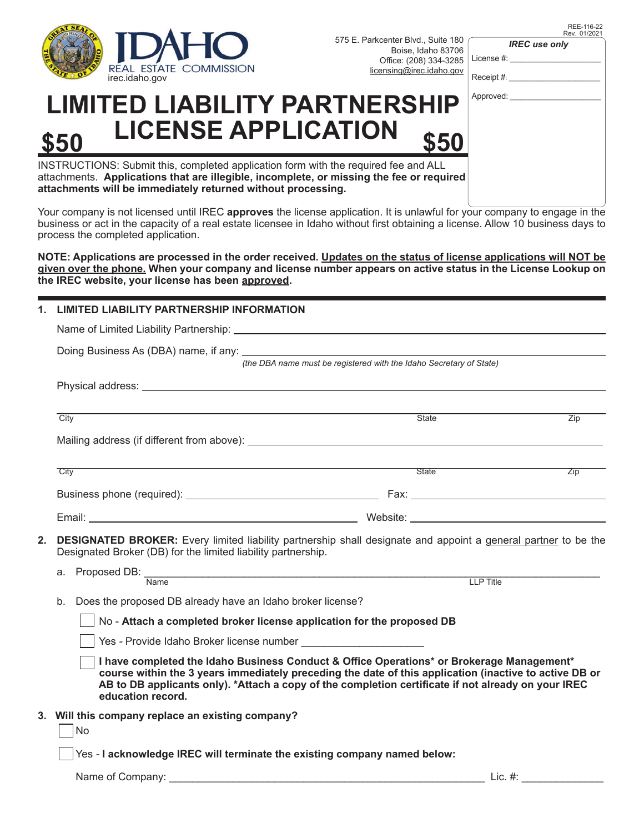

Rev. 01/202 *IREC use only*

REE-116-22

License #:

Receipt #:

## Approved:

|      | <b>LIMITED LIABILITY PARTNERSHIP</b> |      |
|------|--------------------------------------|------|
| \$50 | <b>LICENSE APPLICATION</b>           | \$50 |

INSTRUCTIONS: Submit this, completed application form with the required fee and ALL attachments. **Applications that are illegible, incomplete, or missing the fee or required attachments will be immediately returned without processing.**

Your company is not licensed until IREC **approves** the license application. It is unlawful for your company to engage in the business or act in the capacity of a real estate licensee in Idaho without first obtaining a license. Allow 10 business days to process the completed application.

**NOTE: Applications are processed in the order received. Updates on the status of license applications will NOT be given over the phone. When your company and license number appears on active status in the License Lookup on the IREC website, your license has been approved.** 

### **1. LIMITED LIABILITY PARTNERSHIP INFORMATION**

|                                                                                                                                                                                                                                                                                                                                                                              | (the DBA name must be registered with the Idaho Secretary of State)                                                                                                                                                            |              |            |  |  |                                                         |  |
|------------------------------------------------------------------------------------------------------------------------------------------------------------------------------------------------------------------------------------------------------------------------------------------------------------------------------------------------------------------------------|--------------------------------------------------------------------------------------------------------------------------------------------------------------------------------------------------------------------------------|--------------|------------|--|--|---------------------------------------------------------|--|
|                                                                                                                                                                                                                                                                                                                                                                              | Physical address: with a state of the contract of the contract of the contract of the contract of the contract of the contract of the contract of the contract of the contract of the contract of the contract of the contract |              |            |  |  |                                                         |  |
|                                                                                                                                                                                                                                                                                                                                                                              | City                                                                                                                                                                                                                           | <b>State</b> | Zip        |  |  |                                                         |  |
|                                                                                                                                                                                                                                                                                                                                                                              |                                                                                                                                                                                                                                |              |            |  |  |                                                         |  |
|                                                                                                                                                                                                                                                                                                                                                                              | City                                                                                                                                                                                                                           | State        | <b>Zip</b> |  |  |                                                         |  |
|                                                                                                                                                                                                                                                                                                                                                                              |                                                                                                                                                                                                                                |              |            |  |  |                                                         |  |
|                                                                                                                                                                                                                                                                                                                                                                              |                                                                                                                                                                                                                                |              |            |  |  |                                                         |  |
| 2.                                                                                                                                                                                                                                                                                                                                                                           | <b>DESIGNATED BROKER:</b> Every limited liability partnership shall designate and appoint a general partner to be the<br>Designated Broker (DB) for the limited liability partnership.                                         |              |            |  |  |                                                         |  |
|                                                                                                                                                                                                                                                                                                                                                                              | a. Proposed DB: Name                                                                                                                                                                                                           | LLP Title    |            |  |  |                                                         |  |
|                                                                                                                                                                                                                                                                                                                                                                              | Does the proposed DB already have an Idaho broker license?<br>b.                                                                                                                                                               |              |            |  |  |                                                         |  |
| No - Attach a completed broker license application for the proposed DB                                                                                                                                                                                                                                                                                                       |                                                                                                                                                                                                                                |              |            |  |  |                                                         |  |
| Yes - Provide Idaho Broker license number<br>I have completed the Idaho Business Conduct & Office Operations* or Brokerage Management*<br>course within the 3 years immediately preceding the date of this application (inactive to active DB or<br>AB to DB applicants only). *Attach a copy of the completion certificate if not already on your IREC<br>education record. |                                                                                                                                                                                                                                |              |            |  |  |                                                         |  |
|                                                                                                                                                                                                                                                                                                                                                                              |                                                                                                                                                                                                                                |              |            |  |  | 3. Will this company replace an existing company?<br>No |  |
| Yes - I acknowledge IREC will terminate the existing company named below:                                                                                                                                                                                                                                                                                                    |                                                                                                                                                                                                                                |              |            |  |  |                                                         |  |

Name of Company: \_\_\_\_\_\_\_\_\_\_\_\_\_\_\_\_\_\_\_\_\_\_\_\_\_\_\_\_\_\_\_\_\_\_\_\_\_\_\_\_\_\_\_\_\_\_\_\_\_\_\_\_\_\_ Lic. #: \_\_\_\_\_\_\_\_\_\_\_\_\_\_